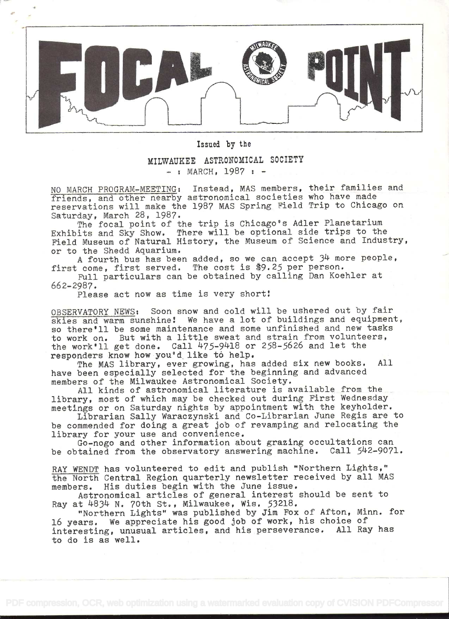

Issied by the

MILWAUKEE ASTRONOMICAL SOCIETY  $-$  : MARCH, 1987 :  $-$ 

NO MARCH PROGRAM-MEETING: Instead, MAS members, their families and friends, and other nearby astronomical societies who have made reservations will make the 1987 MAS Spring Field Trip to Chicago on. Saturday, March 28, 1987.

The focal point of the trip is Chicago's Adler Planetarium Exhibits and Sky Show. There will be optional side trips to the Field Museum of Natural History, the Museum of Science and Industry, or to the Shedd Aquarium.

A fourth bus has been added, so we can accept  $34$  more people, first come, first served. The cost is \$9.25 per person.

Full particulars can be obtained by calling Dan Koehler at 662-2987.

Please act now as time is very short!

OBSERVATORY NEWS: Soon snow and cold will be ushered out by fair skies and warm sunshine! We have a lot of buildings and equipment, so there'll be some maintenance and some unfinished and new tasks to work on. But with a little sweat and strain from volunteers, the work'll get done. Call  $475-9418$  or  $258-5626$  and let the responders know howyou'd like tó help.

The MAS library, ever growing, has added six new books. All have been especially selected for the beginning and advanced members of the Milwaukee Astronomical Society.

All kinds of astronomical literature is available from the library, most of which may be checked out during First Wednesday meetings or on Saturday nights by appointment with the keyholder.

Librarian Sally Waraczynski and Co-Librarian June Regis are to be commended for doing a great job of revamping and relocating the library for your use and convenience.

Go-nogo and other information about grazing occultations can be obtained from the observatory answering machine. Call 542-9071.

RAY WENDT has volunteered to edit and publish "Northern Lights," the North Central Region quarterly newsletter received by all MAS members. His duties begin with the June issue.

Astronomical articles of general interest should be sent to Ray at 4834 N. 70th St., Milwaukee, Wis. 53218.

"Northern Lights" was published by Jim Fox of Afton, Minn. for 16 years. We appreciate his good job of work, his choice of interesting, unusual articles, and his perseverance. All Ray has to do is as well.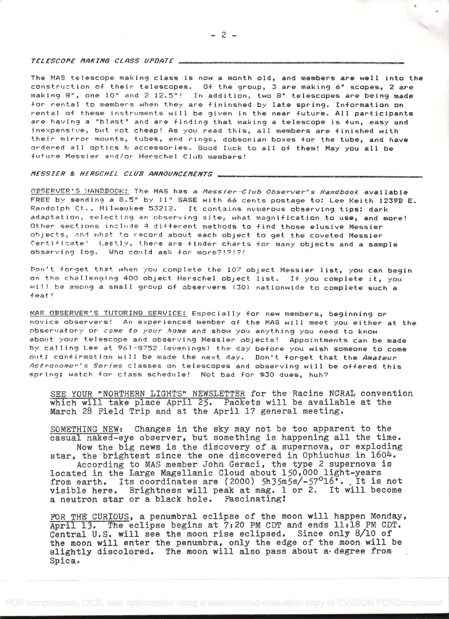TELESCOPE MAKING CLASS UPDATE

The MAS telescope making class is now a month old, and members are well into the construction of their telescopes. Of the group, 3 are making 6" scopes, 2 are making 8", one 10" and 2 12.5"! In addition, two 8" telescopes are being made for rental to members when they are fininshed by late spring. Information on rental of these instruments will be given in the near future. All participants are having a "blast" and are finding that making a telescope is fun, easy and inexpensive, but not cheap! As you read this, all members are finished with their mirror mounts, tubes, end rings, dobsonian boxes for the tube, and have ordered all optics & accessories. Good luck to all of them! May you all be future Messier and/or Herschel Club members!

## MESSIER & HERSCHEL CLUB ANNOUNCEMENTS ...

OBSERVER'S HANDBOOK: The MAS has a Messier-Club Observer's Handbook available FREE by sending a 8.5" by 11" SASE with 66 cents postage to: Lee Keith 1239B E. Randolph Ct., Milwaukee 53212. It contains numerous observing tips: dark adaptation, selecting an observing site, what magnification to use, and more! Other sections include 4 different methods to find those elusive Messier objects, and what to record about each object to get the coveted Messier Certificate! Lastly, there are finder charts for many objects and a sample observing log. Who could ask for more?!?!?!

Don't forget that when you complete the 107 object Messier list, you can begin on the challenging 400 object Herschel object list. If you complete it, you will be among a small group of observers (30) nationwide to complete such a feat!

MAS OBSERVER'S TUTORING SERVICE: Especially for new members, beginning or novice observers! An experienced member of the MAS will meet you either at the observatory or come to your home and show you anything you need to know about your telescope and observing Messier objects! Appointments can be made by calling Lee at 961-8752 (evenings) the day before you wish someone to come out; confirmation will be made the next day. Don't forget that the Amateur Astronomer's Series classes on telescopes and observing will be offered this spring; watch for class schedule! Not bad for \$30 dues, huh?

SEE YOUR "NORTHERN LIGHTS" NEWSLETTER for the Racine NCRAL convention which will take place April 25. Packets will be available at the March 28 Field Trip and at the April 17 general meeting.

SOMETHING NEW: Changes in the sky may not be too apparent to the casual naked-eye observer, but something is happening all the time. Now the big news is the discovery of a supernova, or exploding star, the brightest since the one discovered in Ophiuchus in 1604. According to MAS member John Geraci, the type 2 supernova is<br>located in the Large Magellanic Cloud about 150,000 light-years Its coordinates are (2000)  $5h35m5s/-57^016$ . It is not from earth. visible here. Brightness will peak at mag. 1 or 2. It will become a neutron star or a black hole. Fascinating!

FOR THE CURIOUS, a penumbral eclipse of the moon will happen Monday, April 13. The eclipse begins at 7:20 PM CDT and ends 11:18 PM CDT. Central U.S. will see the moon rise eclipsed. Since only 8/10 of the moon will enter the penumbra, only the edge of the moon will be slightly discolored. The moon will also pass about a degree from Spica.

 $-2-$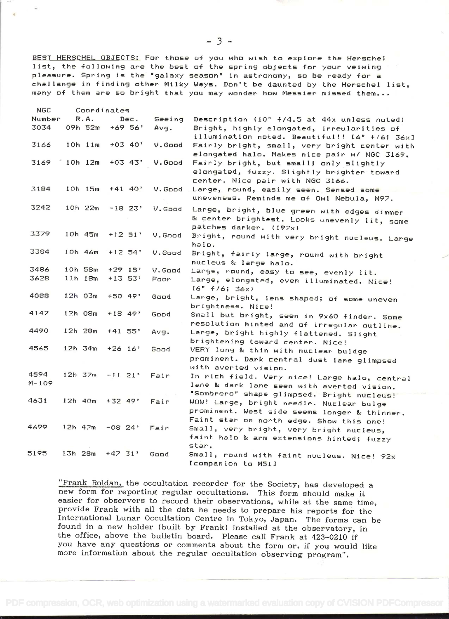BEST HERSCHEL OBJECTS: For those of you who wish to explore the Herschel<br>list, the following are the best of the spring objects for your veiwing pleasure. Spring is the "galaxy season" in astronomy, so be ready for a challange in finding other Milky Ways. Don't be daunted by the Herschel list, many of them are so briqht that you may wonder how Messier missed them.

| NGC.              |             | Coordinates  |            |                       |         |                                                                                                                                           |
|-------------------|-------------|--------------|------------|-----------------------|---------|-------------------------------------------------------------------------------------------------------------------------------------------|
| Number            |             | R.A.         |            | Dec.                  | Seeing  | Description (10" +/4.5 at 44x unless noted)                                                                                               |
| 3034              |             | 09h 52m      |            | $+69.56$ <sup>*</sup> | Avg.    | Bright, highly elongated, irreularities of<br>illumination noted. Beautiful!! [6" f/6; 36x]                                               |
| 3166              |             | $10h$ $11m$  |            | $+03.40'$             | V. Good | Fairly bright, small, very bright center with<br>elongated halo. Makes nice pair w/ NGC 3169.                                             |
| 3169              |             | 10h 12m      |            | $+03$ 43'             | V. Good | Fairly bright, but small; only slightly<br>elongated, fuzzy. Slightly brighter toward<br>center. Nice pair with NGC 3166.                 |
| 3184              |             | $10h$ $15m$  |            | $+41$ 40'             | V.Good  | Large, round, easily seen. Sensed some<br>uneveness. Reminds me of Owl Nebula, M97.                                                       |
| 3242              |             | $10h$ $22m$  |            | $-18$ 23'             | V.Good  | Large, bright, blue green with edges dimmer<br>& center brightest. Looks unevenly lit, some<br>patches darker. (197x)                     |
| 3379              |             | 10h 45m      |            | $+12$ 51'             | V. Good | Bright, round with very bright nucleus. Large<br>halo.                                                                                    |
| 3384              |             | 10h 46m      |            | $+12$ 54'             | V.Good  | Bright, fairly large, round with bright<br>nucleus & large halo.                                                                          |
| 3486              |             | 10h 58m      |            | $+29$ 15'             | V. Good | Large, round, easy to see, evenly lit.                                                                                                    |
| 3628              |             | $11h$ $18m$  |            | $+13.53$ <sup>*</sup> | Poor-   | Large, elongated, even illuminated. Nice!<br>(6" f/6; 36x)                                                                                |
| 4088              |             | 12h 03m      |            | $+50.49$              | Good    | Large, bright, lens shaped; of some uneven<br>brightness. Nice!                                                                           |
| 4147              |             | 12h 08m      | $+18$ 49'  |                       | Good    | Small but bright, seen in 9x60 finder. Some<br>resolution hinted and of irregular outline.                                                |
| 4490              |             | 12h 28m      | $+41$ 55'  |                       | Avg.    | Large, bright highly flattened. Slight<br>brightening toward center. Nice!                                                                |
| 4565              |             | $12h$ 34 $m$ | $+26$ 16'  |                       | Good    | VERY long & thin with nuclear buldge<br>prominent. Dark central dust lane glimpsed<br>with averted vision.                                |
| 4594<br>$M - 109$ |             | 12h 37m      | $-11, 21$  |                       | Fair    | In rich field. Very nice! Large halo, central<br>lane & dark lane seen with averted vision.<br>"Sombrero" shape glimpsed. Bright nucleus! |
| 4631              |             | $12h$ 40m    | $+32$ 49'  |                       | Fair    | WOW! Large, bright needle. Nuclear bulge<br>prominent. West side seems longer & thinner.<br>Faint star on north edge. Show this one!      |
| 4699.             |             | $12h$ 47m    | $-08, 24'$ |                       | Fair    | Small, very bright, very bright nucleus,<br>faint halo & arm extensions hinted; fuzzy<br>star.                                            |
| 5195              | $13h$ $28m$ |              | $+47.31$   |                       | Good    | Small, round with faint nucleus. Nice! 92x<br>Icompanion to M511                                                                          |

"Frank Roldan, the occultation recorder for the Society, has developed a new form for reporting regular occultations. This form should make it easier for observers to record their observations, while at the same time,<br>provide Frank with all the data he needs to prepare his reports for the<br>International Lunar Occultation Centre in Tokyo, Japan. The forms can be<br>fo you have any questions or comments about the form or, if you would like more information about the regular occultation observing program".

 $-3$   $-$